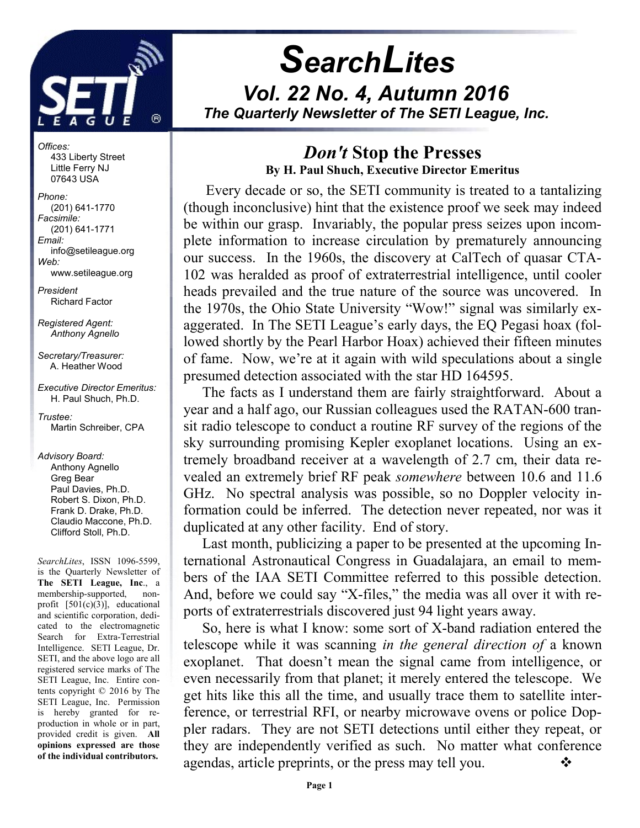

j

Offices: 433 Liberty Street Little Ferry NJ 07643 USA

Phone: (201) 641-1770 Facsimile: (201) 641-1771 Email: info@setileague.org Web: www.setileague.org

President Richard Factor

Registered Agent: Anthony Agnello

Secretary/Treasurer: A. Heather Wood

Executive Director Emeritus: H. Paul Shuch, Ph.D.

Trustee: Martin Schreiber, CPA

#### Advisory Board:

 Anthony Agnello Greg Bear Paul Davies, Ph.D. Robert S. Dixon, Ph.D. Frank D. Drake, Ph.D. Claudio Maccone, Ph.D. Clifford Stoll, Ph.D.

SearchLites, ISSN 1096-5599, is the Quarterly Newsletter of The SETI League, Inc., a membership-supported, nonprofit [501(c)(3)], educational and scientific corporation, dedicated to the electromagnetic Search for Extra-Terrestrial Intelligence. SETI League, Dr. SETI, and the above logo are all registered service marks of The SETI League, Inc. Entire contents copyright © 2016 by The SETI League, Inc. Permission is hereby granted for reproduction in whole or in part, provided credit is given. All opinions expressed are those of the individual contributors.

# **SearchLites** Vol. 22 No. 4, Autumn 2016 The Quarterly Newsletter of The SETI League, Inc.

## Don't Stop the Presses By H. Paul Shuch, Executive Director Emeritus

 Every decade or so, the SETI community is treated to a tantalizing (though inconclusive) hint that the existence proof we seek may indeed be within our grasp. Invariably, the popular press seizes upon incomplete information to increase circulation by prematurely announcing our success. In the 1960s, the discovery at CalTech of quasar CTA-102 was heralded as proof of extraterrestrial intelligence, until cooler heads prevailed and the true nature of the source was uncovered. In the 1970s, the Ohio State University "Wow!" signal was similarly exaggerated. In The SETI League's early days, the EQ Pegasi hoax (followed shortly by the Pearl Harbor Hoax) achieved their fifteen minutes of fame. Now, we're at it again with wild speculations about a single presumed detection associated with the star HD 164595.

The facts as I understand them are fairly straightforward. About a year and a half ago, our Russian colleagues used the RATAN-600 transit radio telescope to conduct a routine RF survey of the regions of the sky surrounding promising Kepler exoplanet locations. Using an extremely broadband receiver at a wavelength of 2.7 cm, their data revealed an extremely brief RF peak somewhere between 10.6 and 11.6 GHz. No spectral analysis was possible, so no Doppler velocity information could be inferred. The detection never repeated, nor was it duplicated at any other facility. End of story.

Last month, publicizing a paper to be presented at the upcoming International Astronautical Congress in Guadalajara, an email to members of the IAA SETI Committee referred to this possible detection. And, before we could say "X-files," the media was all over it with reports of extraterrestrials discovered just 94 light years away.

So, here is what I know: some sort of X-band radiation entered the telescope while it was scanning in the general direction of a known exoplanet. That doesn't mean the signal came from intelligence, or even necessarily from that planet; it merely entered the telescope. We get hits like this all the time, and usually trace them to satellite interference, or terrestrial RFI, or nearby microwave ovens or police Doppler radars. They are not SETI detections until either they repeat, or they are independently verified as such. No matter what conference agendas, article preprints, or the press may tell you.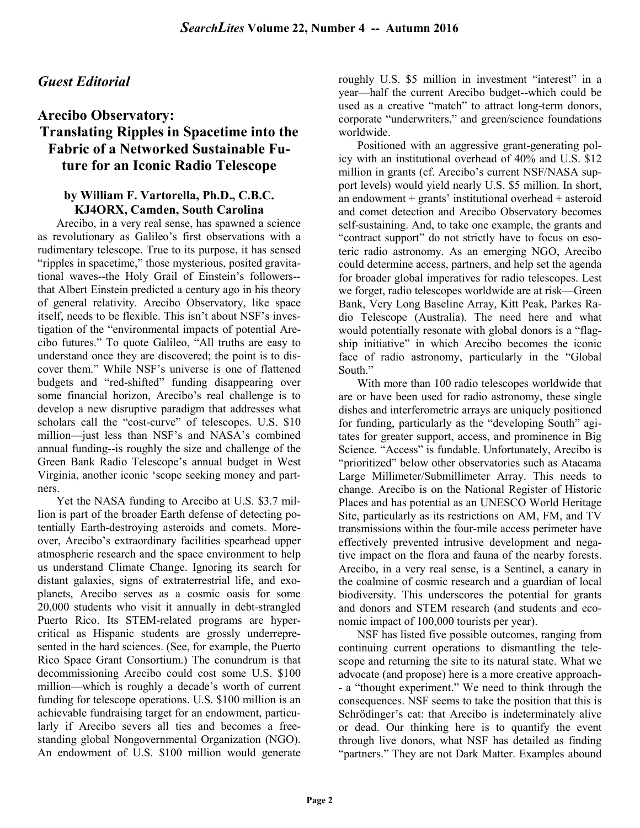### Guest Editorial

### Arecibo Observatory: Translating Ripples in Spacetime into the Fabric of a Networked Sustainable Future for an Iconic Radio Telescope

### by William F. Vartorella, Ph.D., C.B.C. KJ4ORX, Camden, South Carolina

Arecibo, in a very real sense, has spawned a science as revolutionary as Galileo's first observations with a rudimentary telescope. True to its purpose, it has sensed "ripples in spacetime," those mysterious, posited gravitational waves--the Holy Grail of Einstein's followers- that Albert Einstein predicted a century ago in his theory of general relativity. Arecibo Observatory, like space itself, needs to be flexible. This isn't about NSF's investigation of the "environmental impacts of potential Arecibo futures." To quote Galileo, "All truths are easy to understand once they are discovered; the point is to discover them." While NSF's universe is one of flattened budgets and "red-shifted" funding disappearing over some financial horizon, Arecibo's real challenge is to develop a new disruptive paradigm that addresses what scholars call the "cost-curve" of telescopes. U.S. \$10 million—just less than NSF's and NASA's combined annual funding--is roughly the size and challenge of the Green Bank Radio Telescope's annual budget in West Virginia, another iconic 'scope seeking money and partners.

Yet the NASA funding to Arecibo at U.S. \$3.7 million is part of the broader Earth defense of detecting potentially Earth-destroying asteroids and comets. Moreover, Arecibo's extraordinary facilities spearhead upper atmospheric research and the space environment to help us understand Climate Change. Ignoring its search for distant galaxies, signs of extraterrestrial life, and exoplanets, Arecibo serves as a cosmic oasis for some 20,000 students who visit it annually in debt-strangled Puerto Rico. Its STEM-related programs are hypercritical as Hispanic students are grossly underrepresented in the hard sciences. (See, for example, the Puerto Rico Space Grant Consortium.) The conundrum is that decommissioning Arecibo could cost some U.S. \$100 million—which is roughly a decade's worth of current funding for telescope operations. U.S. \$100 million is an achievable fundraising target for an endowment, particularly if Arecibo severs all ties and becomes a freestanding global Nongovernmental Organization (NGO). An endowment of U.S. \$100 million would generate roughly U.S. \$5 million in investment "interest" in a year—half the current Arecibo budget--which could be used as a creative "match" to attract long-term donors, corporate "underwriters," and green/science foundations worldwide.

Positioned with an aggressive grant-generating policy with an institutional overhead of 40% and U.S. \$12 million in grants (cf. Arecibo's current NSF/NASA support levels) would yield nearly U.S. \$5 million. In short, an endowment + grants' institutional overhead + asteroid and comet detection and Arecibo Observatory becomes self-sustaining. And, to take one example, the grants and "contract support" do not strictly have to focus on esoteric radio astronomy. As an emerging NGO, Arecibo could determine access, partners, and help set the agenda for broader global imperatives for radio telescopes. Lest we forget, radio telescopes worldwide are at risk—Green Bank, Very Long Baseline Array, Kitt Peak, Parkes Radio Telescope (Australia). The need here and what would potentially resonate with global donors is a "flagship initiative" in which Arecibo becomes the iconic face of radio astronomy, particularly in the "Global South."

With more than 100 radio telescopes worldwide that are or have been used for radio astronomy, these single dishes and interferometric arrays are uniquely positioned for funding, particularly as the "developing South" agitates for greater support, access, and prominence in Big Science. "Access" is fundable. Unfortunately, Arecibo is "prioritized" below other observatories such as Atacama Large Millimeter/Submillimeter Array. This needs to change. Arecibo is on the National Register of Historic Places and has potential as an UNESCO World Heritage Site, particularly as its restrictions on AM, FM, and TV transmissions within the four-mile access perimeter have effectively prevented intrusive development and negative impact on the flora and fauna of the nearby forests. Arecibo, in a very real sense, is a Sentinel, a canary in the coalmine of cosmic research and a guardian of local biodiversity. This underscores the potential for grants and donors and STEM research (and students and economic impact of 100,000 tourists per year).

NSF has listed five possible outcomes, ranging from continuing current operations to dismantling the telescope and returning the site to its natural state. What we advocate (and propose) here is a more creative approach- - a "thought experiment." We need to think through the consequences. NSF seems to take the position that this is Schrödinger's cat: that Arecibo is indeterminately alive or dead. Our thinking here is to quantify the event through live donors, what NSF has detailed as finding "partners." They are not Dark Matter. Examples abound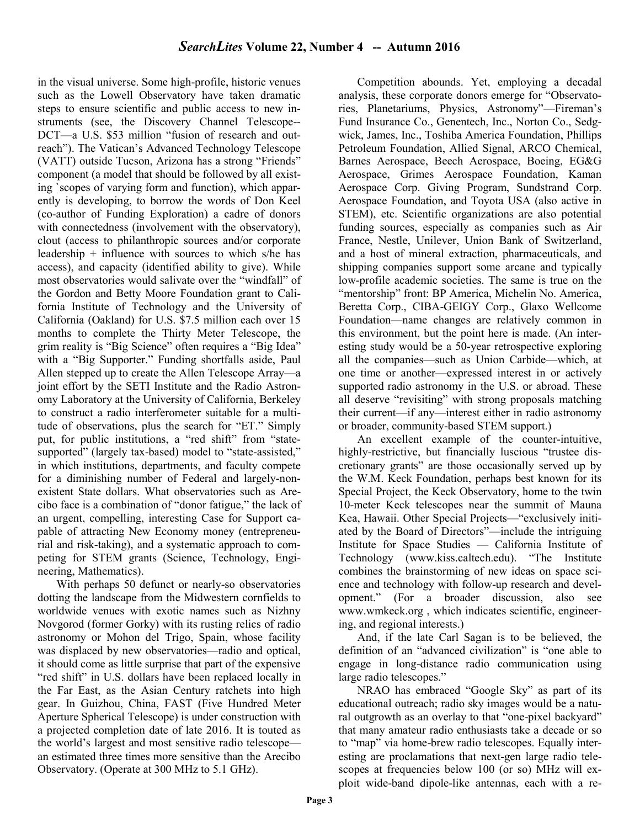in the visual universe. Some high-profile, historic venues such as the Lowell Observatory have taken dramatic steps to ensure scientific and public access to new instruments (see, the Discovery Channel Telescope-- DCT—a U.S. \$53 million "fusion of research and outreach"). The Vatican's Advanced Technology Telescope (VATT) outside Tucson, Arizona has a strong "Friends" component (a model that should be followed by all existing `scopes of varying form and function), which apparently is developing, to borrow the words of Don Keel (co-author of Funding Exploration) a cadre of donors with connectedness (involvement with the observatory), clout (access to philanthropic sources and/or corporate leadership + influence with sources to which s/he has access), and capacity (identified ability to give). While most observatories would salivate over the "windfall" of the Gordon and Betty Moore Foundation grant to California Institute of Technology and the University of California (Oakland) for U.S. \$7.5 million each over 15 months to complete the Thirty Meter Telescope, the grim reality is "Big Science" often requires a "Big Idea" with a "Big Supporter." Funding shortfalls aside, Paul Allen stepped up to create the Allen Telescope Array—a joint effort by the SETI Institute and the Radio Astronomy Laboratory at the University of California, Berkeley to construct a radio interferometer suitable for a multitude of observations, plus the search for "ET." Simply put, for public institutions, a "red shift" from "statesupported" (largely tax-based) model to "state-assisted," in which institutions, departments, and faculty compete for a diminishing number of Federal and largely-nonexistent State dollars. What observatories such as Arecibo face is a combination of "donor fatigue," the lack of an urgent, compelling, interesting Case for Support capable of attracting New Economy money (entrepreneurial and risk-taking), and a systematic approach to competing for STEM grants (Science, Technology, Engineering, Mathematics).

With perhaps 50 defunct or nearly-so observatories dotting the landscape from the Midwestern cornfields to worldwide venues with exotic names such as Nizhny Novgorod (former Gorky) with its rusting relics of radio astronomy or Mohon del Trigo, Spain, whose facility was displaced by new observatories—radio and optical, it should come as little surprise that part of the expensive "red shift" in U.S. dollars have been replaced locally in the Far East, as the Asian Century ratchets into high gear. In Guizhou, China, FAST (Five Hundred Meter Aperture Spherical Telescope) is under construction with a projected completion date of late 2016. It is touted as the world's largest and most sensitive radio telescope an estimated three times more sensitive than the Arecibo Observatory. (Operate at 300 MHz to 5.1 GHz).

Competition abounds. Yet, employing a decadal analysis, these corporate donors emerge for "Observatories, Planetariums, Physics, Astronomy"—Fireman's Fund Insurance Co., Genentech, Inc., Norton Co., Sedgwick, James, Inc., Toshiba America Foundation, Phillips Petroleum Foundation, Allied Signal, ARCO Chemical, Barnes Aerospace, Beech Aerospace, Boeing, EG&G Aerospace, Grimes Aerospace Foundation, Kaman Aerospace Corp. Giving Program, Sundstrand Corp. Aerospace Foundation, and Toyota USA (also active in STEM), etc. Scientific organizations are also potential funding sources, especially as companies such as Air France, Nestle, Unilever, Union Bank of Switzerland, and a host of mineral extraction, pharmaceuticals, and shipping companies support some arcane and typically low-profile academic societies. The same is true on the "mentorship" front: BP America, Michelin No. America, Beretta Corp., CIBA-GEIGY Corp., Glaxo Wellcome Foundation—name changes are relatively common in this environment, but the point here is made. (An interesting study would be a 50-year retrospective exploring all the companies—such as Union Carbide—which, at one time or another—expressed interest in or actively supported radio astronomy in the U.S. or abroad. These all deserve "revisiting" with strong proposals matching their current—if any—interest either in radio astronomy or broader, community-based STEM support.)

An excellent example of the counter-intuitive, highly-restrictive, but financially luscious "trustee discretionary grants" are those occasionally served up by the W.M. Keck Foundation, perhaps best known for its Special Project, the Keck Observatory, home to the twin 10-meter Keck telescopes near the summit of Mauna Kea, Hawaii. Other Special Projects—"exclusively initiated by the Board of Directors"—include the intriguing Institute for Space Studies — California Institute of Technology (www.kiss.caltech.edu). "The Institute combines the brainstorming of new ideas on space science and technology with follow-up research and development." (For a broader discussion, also see www.wmkeck.org , which indicates scientific, engineering, and regional interests.)

And, if the late Carl Sagan is to be believed, the definition of an "advanced civilization" is "one able to engage in long-distance radio communication using large radio telescopes."

NRAO has embraced "Google Sky" as part of its educational outreach; radio sky images would be a natural outgrowth as an overlay to that "one-pixel backyard" that many amateur radio enthusiasts take a decade or so to "map" via home-brew radio telescopes. Equally interesting are proclamations that next-gen large radio telescopes at frequencies below 100 (or so) MHz will exploit wide-band dipole-like antennas, each with a re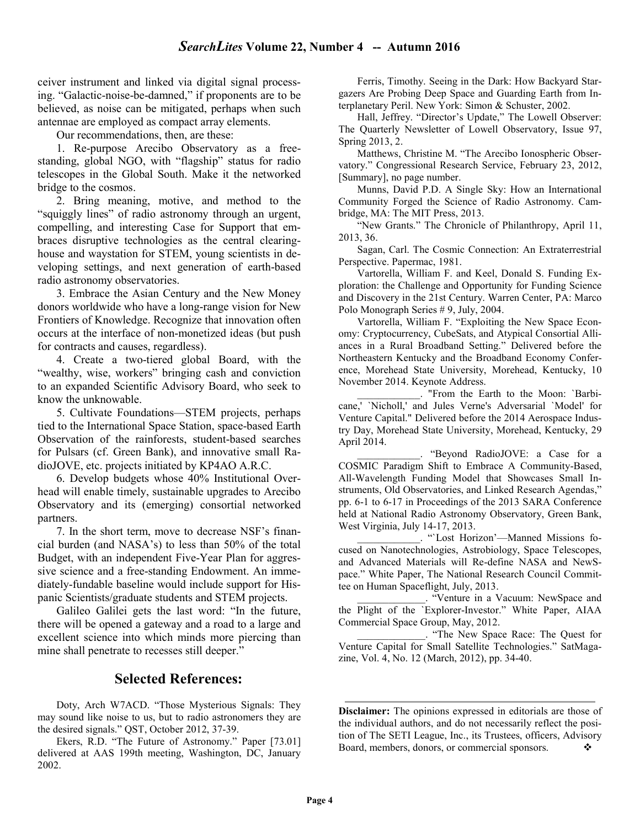ceiver instrument and linked via digital signal processing. "Galactic-noise-be-damned," if proponents are to be believed, as noise can be mitigated, perhaps when such antennae are employed as compact array elements.

Our recommendations, then, are these:

1. Re-purpose Arecibo Observatory as a freestanding, global NGO, with "flagship" status for radio telescopes in the Global South. Make it the networked bridge to the cosmos.

2. Bring meaning, motive, and method to the "squiggly lines" of radio astronomy through an urgent, compelling, and interesting Case for Support that embraces disruptive technologies as the central clearinghouse and waystation for STEM, young scientists in developing settings, and next generation of earth-based radio astronomy observatories.

3. Embrace the Asian Century and the New Money donors worldwide who have a long-range vision for New Frontiers of Knowledge. Recognize that innovation often occurs at the interface of non-monetized ideas (but push for contracts and causes, regardless).

4. Create a two-tiered global Board, with the "wealthy, wise, workers" bringing cash and conviction to an expanded Scientific Advisory Board, who seek to know the unknowable.

5. Cultivate Foundations—STEM projects, perhaps tied to the International Space Station, space-based Earth Observation of the rainforests, student-based searches for Pulsars (cf. Green Bank), and innovative small RadioJOVE, etc. projects initiated by KP4AO A.R.C.

6. Develop budgets whose 40% Institutional Overhead will enable timely, sustainable upgrades to Arecibo Observatory and its (emerging) consortial networked partners.

7. In the short term, move to decrease NSF's financial burden (and NASA's) to less than 50% of the total Budget, with an independent Five-Year Plan for aggressive science and a free-standing Endowment. An immediately-fundable baseline would include support for Hispanic Scientists/graduate students and STEM projects.

Galileo Galilei gets the last word: "In the future, there will be opened a gateway and a road to a large and excellent science into which minds more piercing than mine shall penetrate to recesses still deeper."

### Selected References:

Doty, Arch W7ACD. "Those Mysterious Signals: They may sound like noise to us, but to radio astronomers they are the desired signals." QST, October 2012, 37-39.

Ferris, Timothy. Seeing in the Dark: How Backyard Stargazers Are Probing Deep Space and Guarding Earth from Interplanetary Peril. New York: Simon & Schuster, 2002.

Hall, Jeffrey. "Director's Update," The Lowell Observer: The Quarterly Newsletter of Lowell Observatory, Issue 97, Spring 2013, 2.

Matthews, Christine M. "The Arecibo Ionospheric Observatory." Congressional Research Service, February 23, 2012, [Summary], no page number.

Munns, David P.D. A Single Sky: How an International Community Forged the Science of Radio Astronomy. Cambridge, MA: The MIT Press, 2013.

"New Grants." The Chronicle of Philanthropy, April 11, 2013, 36.

Sagan, Carl. The Cosmic Connection: An Extraterrestrial Perspective. Papermac, 1981.

Vartorella, William F. and Keel, Donald S. Funding Exploration: the Challenge and Opportunity for Funding Science and Discovery in the 21st Century. Warren Center, PA: Marco Polo Monograph Series # 9, July, 2004.

Vartorella, William F. "Exploiting the New Space Economy: Cryptocurrency, CubeSats, and Atypical Consortial Alliances in a Rural Broadband Setting." Delivered before the Northeastern Kentucky and the Broadband Economy Conference, Morehead State University, Morehead, Kentucky, 10 November 2014. Keynote Address.

\_\_\_\_\_\_\_\_\_\_\_\_. "From the Earth to the Moon: `Barbicane,' `Nicholl,' and Jules Verne's Adversarial `Model' for Venture Capital." Delivered before the 2014 Aerospace Industry Day, Morehead State University, Morehead, Kentucky, 29 April 2014.

\_\_\_\_\_\_\_\_\_\_\_\_. "Beyond RadioJOVE: a Case for a COSMIC Paradigm Shift to Embrace A Community-Based, All-Wavelength Funding Model that Showcases Small Instruments, Old Observatories, and Linked Research Agendas," pp. 6-1 to 6-17 in Proceedings of the 2013 SARA Conference held at National Radio Astronomy Observatory, Green Bank, West Virginia, July 14-17, 2013.

\_\_\_\_\_\_\_\_\_\_\_\_. "`Lost Horizon'—Manned Missions focused on Nanotechnologies, Astrobiology, Space Telescopes, and Advanced Materials will Re-define NASA and NewSpace." White Paper, The National Research Council Committee on Human Spaceflight, July, 2013.

\_\_\_\_\_\_\_\_\_\_\_\_\_. "Venture in a Vacuum: NewSpace and the Plight of the `Explorer-Investor." White Paper, AIAA Commercial Space Group, May, 2012.

\_\_\_\_\_\_\_\_\_\_\_\_\_. "The New Space Race: The Quest for Venture Capital for Small Satellite Technologies." SatMagazine, Vol. 4, No. 12 (March, 2012), pp. 34-40.

Disclaimer: The opinions expressed in editorials are those of the individual authors, and do not necessarily reflect the position of The SETI League, Inc., its Trustees, officers, Advisory Board, members, donors, or commercial sponsors.

Ekers, R.D. "The Future of Astronomy." Paper [73.01] delivered at AAS 199th meeting, Washington, DC, January 2002.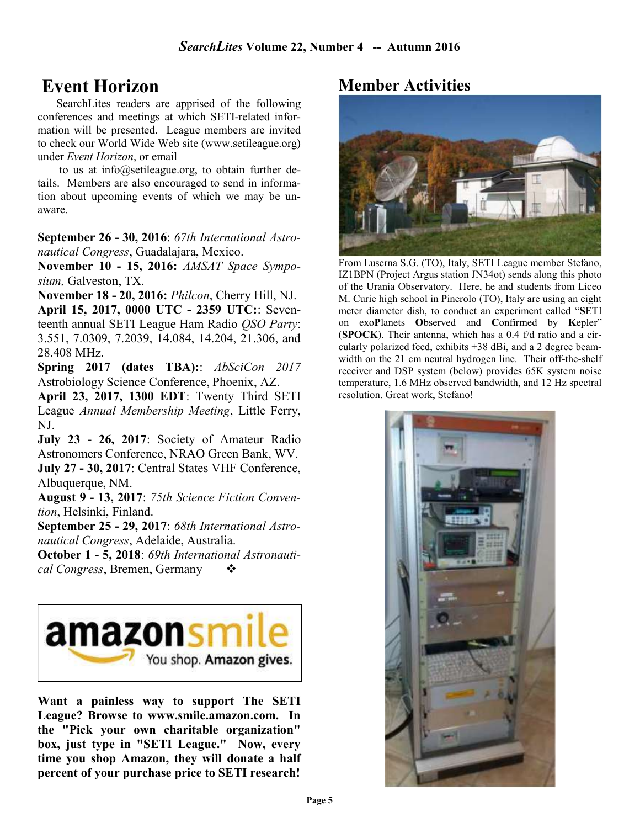# Event Horizon

SearchLites readers are apprised of the following conferences and meetings at which SETI-related information will be presented. League members are invited to check our World Wide Web site (www.setileague.org) under Event Horizon, or email

 to us at info@setileague.org, to obtain further details. Members are also encouraged to send in information about upcoming events of which we may be unaware.

September 26 - 30, 2016: 67th International Astronautical Congress, Guadalajara, Mexico.

November 10 - 15, 2016: AMSAT Space Symposium, Galveston, TX.

November 18 - 20, 2016: Philcon, Cherry Hill, NJ.

April 15, 2017, 0000 UTC - 2359 UTC:: Seventeenth annual SETI League Ham Radio QSO Party: 3.551, 7.0309, 7.2039, 14.084, 14.204, 21.306, and 28.408 MHz.

Spring 2017 (dates TBA):: AbSciCon 2017 Astrobiology Science Conference, Phoenix, AZ.

April 23, 2017, 1300 EDT: Twenty Third SETI League Annual Membership Meeting, Little Ferry, NJ.

July 23 - 26, 2017: Society of Amateur Radio Astronomers Conference, NRAO Green Bank, WV. July 27 - 30, 2017: Central States VHF Conference, Albuquerque, NM.

August 9 - 13, 2017: 75th Science Fiction Convention, Helsinki, Finland.

September 25 - 29, 2017: 68th International Astronautical Congress, Adelaide, Australia.

October 1 - 5, 2018: 69th International Astronautical Congress, Bremen, Germany  $\bullet$ 



Want a painless way to support The SETI League? Browse to www.smile.amazon.com. In the "Pick your own charitable organization" box, just type in "SETI League." Now, every time you shop Amazon, they will donate a half percent of your purchase price to SETI research!

# Member Activities



From Luserna S.G. (TO), Italy, SETI League member Stefano, IZ1BPN (Project Argus station JN34ot) sends along this photo of the Urania Observatory. Here, he and students from Liceo M. Curie high school in Pinerolo (TO), Italy are using an eight meter diameter dish, to conduct an experiment called "SETI on exoPlanets Observed and Confirmed by Kepler" (SPOCK). Their antenna, which has a 0.4 f/d ratio and a circularly polarized feed, exhibits +38 dBi, and a 2 degree beamwidth on the 21 cm neutral hydrogen line. Their off-the-shelf receiver and DSP system (below) provides 65K system noise temperature, 1.6 MHz observed bandwidth, and 12 Hz spectral resolution. Great work, Stefano!